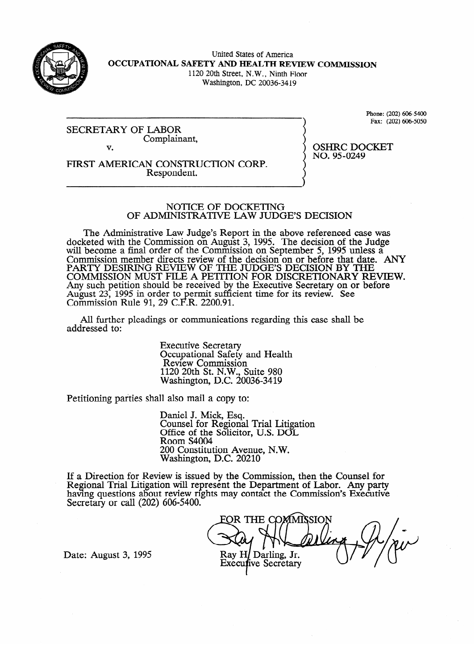

United States of America **OCCUPATIONAL SAFETY AND HEALTH REVIEW COMMISSION**  1120 20th Street, N.W., Ninth Floor

Washington, DC 20036-34 19

SECRETARY OF Complair Complainant,  $\mathbf{v}$ 

Phone: (202) 606-5400<br>Fax: (202) 606-5050  $\sum_{i=1}^{n}$ 

OSHRC DOCKET<br>NO. 95-0249

 $\frac{1}{2}$ 

v. FIRST AMERICAN CONSTRUCTION CORP.<br>Respondent. Respondent.

## NOTICE OF DOCKETING OF ADMINISTRATIVE LAW JUDGE'S DECISION

The Administrative Law Judge's Report in the above referenced case was docketed with the Commission on August 3, 1995. The decision of the Judge will become a final order of the Commission on September 5, 1995 unless a will become a final order of the Commission on September 5, 1995 unless a Commission member directs review of the decision on or before that date. PARTY DESIRING REVIEW OF THE JUDGE'S DECISION BY THE<br>COMMISSION MUST FILE A DETTION FOR DISCRETIONARY REVIEW. **POININGSION MOST FILE A PETITION FOR DISCRETIONARY RE** Any such penhon should be received by the executive secretary on or before August 23, 1995 in order to permit sufficient time for its review. See<br>Commission Pula 01, 20 C E P, 2200.01 Commission Rule 91, 29 C.F.R. 2200.91. l cient time for its review. See the form of the form of the form of the form of the form of the form of the f<br>In the form of the form of the form of the form of the form of the form of the form of the form of the form of

All further pleadings or communication  $A$ ll  $C$ ssolutions regardings or communications regarding the shall behall behall behall behall behall behall behall behall behall behall behall behall behall behall behall behall behall behall behall behall behall behal

> **Executive Secretary** Occupational Safety and Health<br>Review Commission  $1120$  20th St. N.W., Suite 980  $N$ ashington, D.C. 20 1120 20th St. N.W., Suite 980

Petitioning parties shall also mail a copy to:

Daniel J. Mick, Esq.<br>Counsel for Regional Trial Litigation Office of the Solicitor, U.S. DOL Room S4004 200 Constitution Avenue, N.W. Washington, D.C. 20210

 $\overline{\phantom{a}}$ ew is issued by the Com having questions about review rights may contact the Commission's Executiv Secretary or call  $(202)$  606-5400.

havmg questions about review rrghts may FOR THE COMMISSION Ray H/ Darling, Jr. **Executive Secretary** 

Date: August 3, 1995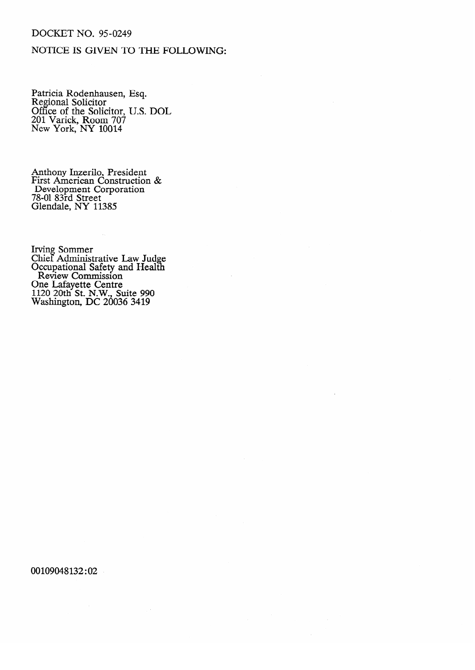### **DOCKET NO. 95-0249**

# NOTICE IS GIVEN TO THE FOLLOWING:

Patricia Rodenhausen, Esq.<br>Regional Solicitor<br>Office of the Solicitor, U.S. DOL<br>201 Varick, Room 707<br>New York, NY 10014

Anthony Inzerilo, President<br>First American Construction &<br>Development Corporation<br>78-01 83rd Street<br>Glendale, NY 11385

Irving Sommer<br>Chief Administrative Law Judge<br>Occupational Safety and Health<br>Review Commission<br>One Lafayette Centre<br>1120 20th St. N.W., Suite 990<br>Washington, DC 20036 3419

00109048132:02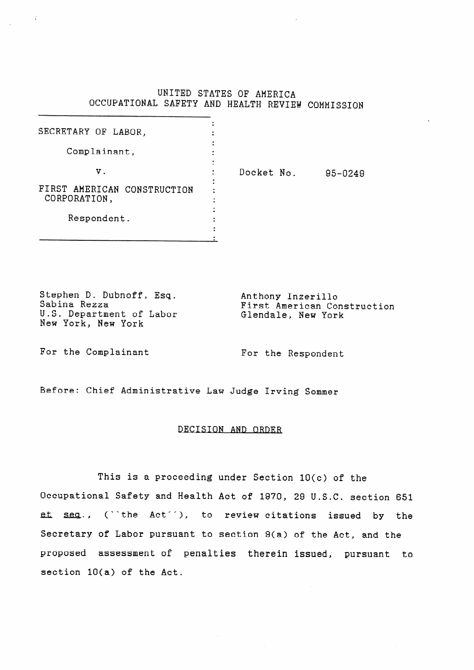### UNITED STATES OF AMERICA QCCUPATIONAL SAFETY AND HEALTH REVIEW COHMISSIQN

| SECRETARY OF LABOR,                         |  |            |         |
|---------------------------------------------|--|------------|---------|
| Complainant,                                |  |            |         |
| ν.                                          |  | Docket No. | 95-0249 |
| FIRST AMERICAN CONSTRUCTION<br>CORPORATION, |  |            |         |
| Respondent.                                 |  |            |         |

Stephen D. Dubnoff, Esq. Sabina Rezza U.S. Department of Labor New York, New York

Anthony Inzerillo First American Construction Glendale, New York

For the Complainant For the Respondent

Before: Chief Administrative Law Judge Irving **Sommer** 

#### DECISION AND ORDER

This is a proceeding under Section 10(c) of the Occupational Safety and Health Act of 1970, 29 U.S.C. section 651 et seq., ("the Act"), to review citations issued by the Secretary of Labor pursuant to section Q(a) of the Act, and the proposed assessment of penalties therein issued; pursuant to section 10(a) of the Act.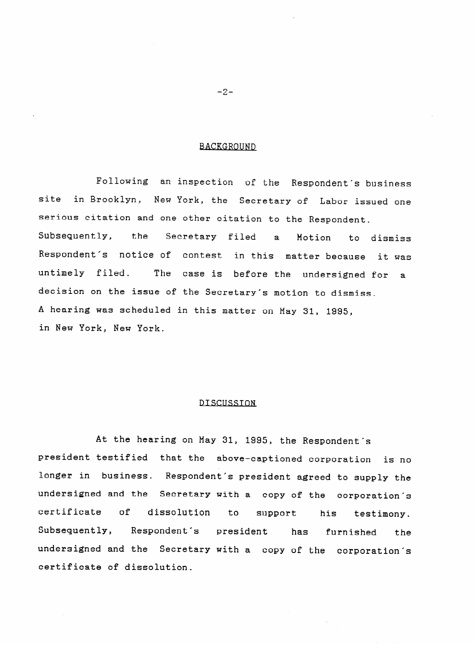### **BACKGROUND**

Following and Respondent's business site in Brooklyn, New York, the Secretary of Labor issued one serious citation and one other citation to the Respondent. Subsequently, the Secretary filed a Motion to dismiss<br>Respondent's notice-of contest in-this matter-because it-was Subsequently, the  $\mathbf{a}$ untimely filed. The case is before the undersigned for a decision on the issue of the Secretary's motion to dismiss. A hearing was scheduled in this matter on May 31, 1995, in New York, New York.

#### DISCUSSION

At the hearing on May 31, 1995, the Respondent's president testified that the above-captioned corporation is no longer in business. Respondent's president agreed to supply the undersigned and the Secretary with a copy of the corporation's certificate of dissolution to support his testimony. Subsequently, Respondent's president has furnished the undersigned and the Secretary with a copy of the corporation's certificate of dissolution.

 $-2-$